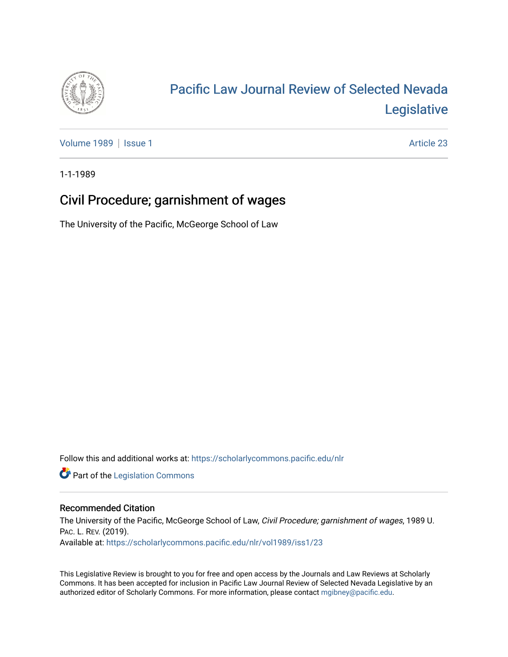

# [Pacific Law Journal Review of Selected Nevada](https://scholarlycommons.pacific.edu/nlr)  [Legislative](https://scholarlycommons.pacific.edu/nlr)

[Volume 1989](https://scholarlycommons.pacific.edu/nlr/vol1989) | [Issue 1](https://scholarlycommons.pacific.edu/nlr/vol1989/iss1) Article 23

1-1-1989

## Civil Procedure; garnishment of wages

The University of the Pacific, McGeorge School of Law

Follow this and additional works at: [https://scholarlycommons.pacific.edu/nlr](https://scholarlycommons.pacific.edu/nlr?utm_source=scholarlycommons.pacific.edu%2Fnlr%2Fvol1989%2Fiss1%2F23&utm_medium=PDF&utm_campaign=PDFCoverPages) 

**Part of the [Legislation Commons](http://network.bepress.com/hgg/discipline/859?utm_source=scholarlycommons.pacific.edu%2Fnlr%2Fvol1989%2Fiss1%2F23&utm_medium=PDF&utm_campaign=PDFCoverPages)** 

### Recommended Citation

The University of the Pacific, McGeorge School of Law, Civil Procedure; garnishment of wages, 1989 U. PAC. L. REV. (2019). Available at: [https://scholarlycommons.pacific.edu/nlr/vol1989/iss1/23](https://scholarlycommons.pacific.edu/nlr/vol1989/iss1/23?utm_source=scholarlycommons.pacific.edu%2Fnlr%2Fvol1989%2Fiss1%2F23&utm_medium=PDF&utm_campaign=PDFCoverPages)

This Legislative Review is brought to you for free and open access by the Journals and Law Reviews at Scholarly Commons. It has been accepted for inclusion in Pacific Law Journal Review of Selected Nevada Legislative by an authorized editor of Scholarly Commons. For more information, please contact [mgibney@pacific.edu](mailto:mgibney@pacific.edu).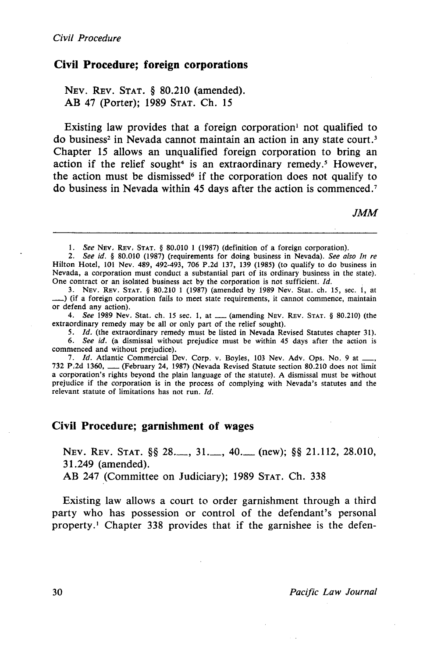#### **Civil Procedure; foreign corporations**

NEV. REV. STAT. § 80.210 (amended). AB 47 (Porter); 1989 STAT. Ch. 15

Existing law provides that a foreign corporation not qualified to do business<sup>2</sup> in Nevada cannot maintain an action in any state court.<sup>3</sup> Chapter 15 allows an unqualified foreign corporation to bring an action if the relief sought<sup>4</sup> is an extraordinary remedy.<sup>5</sup> However, the action must be dismissed<sup>6</sup> if the corporation does not qualify to do business in Nevada within 45 days after the action is commenced. <sup>7</sup>

JMM

2. *See id.* § 80.010 (1987) (requirements for doing business in Nevada). *See also In re*  Hilton Hotel, 101 Nev. 489, 492-493, 706 P.2d 137, 139 (1985) (to qualify to do business in Nevada, a corporation must conduct a substantial part of its ordinary business in the state). One contract or an isolated business act by the corporation is not sufficient. *Id.* 

3. NEv. REv. STAT. § 80.210 1 (1987) (amended by 1989 Nev. Stat. ch. 15, sec. 1, at \_) (if a foreign corporation fails to meet state requirements, it cannot commence, maintain or defend any action).

4. See 1989 Nev. Stat. ch. 15 sec. 1, at  $\frac{1}{2}$  (amending Nev. Rev. Stat. § 80.210) (the extraordinary remedy may be all or only part of the relief sought).

5. Id. (the extraordinary remedy must be listed in Nevada Revised Statutes chapter 31).

6. *See id.* (a dismissal without prejudice must be within 45 days after the action is commenced and without prejudice).

7. Id. Atlantic Commercial Dev. Corp. v. Boyles, 103 Nev. Adv. Ops. No. 9 at 732 P.2d 1360, \_\_ (February 24, 1987) (Nevada Revised Statute section 80.210 does not limit a corporation's rights beyond the plain language of the statute). A dismissal must be without prejudice if the corporation is in the process of complying with Nevada's statutes and the relevant statute of limitations has not run. *Id.* 

#### **Civil Procedure; garnishment of** wages

NEv. REv. STAT. §§ 28.\_, 31.\_, 40.\_ (new); §§ 21.112, 28.010, 31.249 (amended).

AB 247 (Committee on Judiciary); 1989 STAT. Ch. 338

Existing law allows a court to order garnishment through a third party who has possession or control of the defendant's personal property .1 Chapter 338 provides that if the garnishee is the defen-

<sup>1.</sup> *See* NEv. REv, STAT. § 80.010 1 (1987) (definition of a foreign corporation).